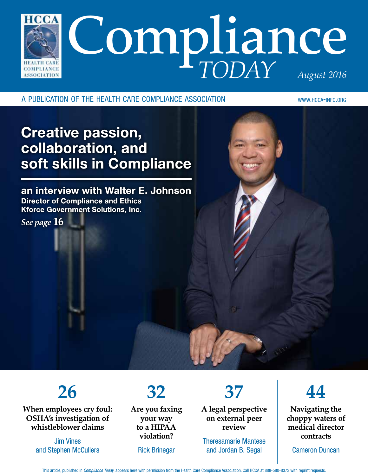

a publication of the health care compliance association www.hcca-info.org

#### Creative passion, collaboration, and soft skills in Compliance

an interview with Walter E. Johnson Director of Compliance and Ethics Kforce Government Solutions, Inc.

*See page* **16**

## **26**

**When employees cry foul: OSHA's investigation of whistleblower claims**

> Jim Vines and Stephen McCullers

#### **32 Are you faxing**

**your way to a HIPAA violation?** Rick Brinegar

**37**

**A legal perspective on external peer review**

Theresamarie Mantese and Jordan B. Segal



**Navigating the choppy waters of medical director contracts**

Cameron Duncan

This article, published in *Compliance Today*, appears here with permission from the Health Care Compliance Association. Call HCCA at 888-580-8373 with reprint requests.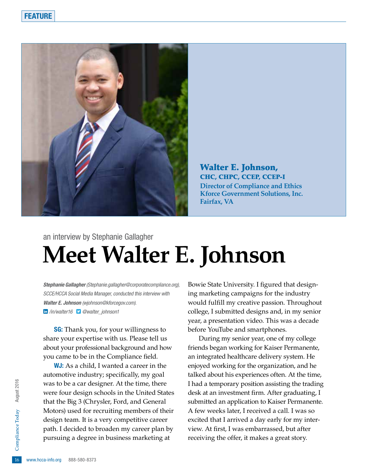

Walter E. Johnson, CHC, CHPC, CCEP, CCEP-I **Director of Compliance and Ethics Kforce Government Solutions, Inc. Fairfax, VA**

#### an interview by Stephanie Gallagher **Meet Walter E. Johnson**

*Stephanie Gallagher (Stephanie.gallagher@corporatecompliance.org), SCCE/HCCA Social Media Manager, conducted this interview with Walter E. Johnson (wjohnson@kforcegov.com). /in/walter16 @walter\_johnson1*

**SG:** Thank you, for your willingness to share your expertise with us. Please tell us about your professional background and how you came to be in the Compliance field.

path. I decided to broaden my career plan by<br>pursuing a degree in business marketing at<br> $\frac{6}{5}$ <br>www.hcca-info.org 888-580-8373 W. As a child, I wanted a career in the automotive industry; specifically, my goal was to be a car designer. At the time, there were four design schools in the United States that the Big 3 (Chrysler, Ford, and General Motors) used for recruiting members of their design team. It is a very competitive career pursuing a degree in business marketing at

Bowie State University. I figured that designing marketing campaigns for the industry would fulfill my creative passion. Throughout college, I submitted designs and, in my senior year, a presentation video. This was a decade before YouTube and smartphones.

During my senior year, one of my college friends began working for Kaiser Permanente, an integrated healthcare delivery system. He enjoyed working for the organization, and he talked about his experiences often. At the time, I had a temporary position assisting the trading desk at an investment firm. After graduating, I submitted an application to Kaiser Permanente. A few weeks later, I received a call. I was so excited that I arrived a day early for my interview. At first, I was embarrassed, but after receiving the offer, it makes a great story.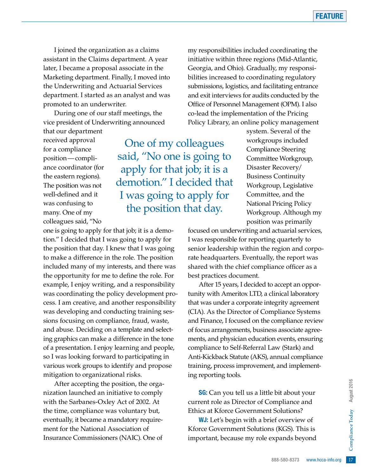I joined the organization as a claims assistant in the Claims department. A year later, I became a proposal associate in the Marketing department. Finally, I moved into the Underwriting and Actuarial Services department. I started as an analyst and was promoted to an underwriter.

During one of our staff meetings, the vice president of Underwriting announced

that our department received approval for a compliance position—compliance coordinator (for the eastern regions). The position was not well-defined and it was confusing to many. One of my colleagues said, "No

One of my colleagues said, "No one is going to apply for that job; it is a demotion." I decided that I was going to apply for the position that day.

one is going to apply for that job; it is a demotion." I decided that I was going to apply for the position that day. I knew that I was going to make a difference in the role. The position included many of my interests, and there was the opportunity for me to define the role. For example, I enjoy writing, and a responsibility was coordinating the policy development process. I am creative, and another responsibility was developing and conducting training sessions focusing on compliance, fraud, waste, and abuse. Deciding on a template and selecting graphics can make a difference in the tone of a presentation. I enjoy learning and people, so I was looking forward to participating in various work groups to identify and propose mitigation to organizational risks.

After accepting the position, the organization launched an initiative to comply with the Sarbanes-Oxley Act of 2002. At the time, compliance was voluntary but, eventually, it became a mandatory requirement for the National Association of Insurance Commissioners (NAIC). One of

my responsibilities included coordinating the initiative within three regions (Mid-Atlantic, Georgia, and Ohio). Gradually, my responsibilities increased to coordinating regulatory submissions, logistics, and facilitating entrance and exit interviews for audits conducted by the Office of Personnel Management (OPM). I also co-lead the implementation of the Pricing Policy Library, an online policy management

> system. Several of the workgroups included Compliance Steering Committee Workgroup, Disaster Recovery/ Business Continuity Workgroup, Legislative Committee, and the National Pricing Policy Workgroup. Although my position was primarily

focused on underwriting and actuarial services, I was responsible for reporting quarterly to senior leadership within the region and corporate headquarters. Eventually, the report was shared with the chief compliance officer as a best practices document.

After 15 years, I decided to accept an opportunity with Ameritox LTD, a clinical laboratory that was under a corporate integrity agreement (CIA). As the Director of Compliance Systems and Finance, I focused on the compliance review of focus arrangements, business associate agreements, and physician education events, ensuring compliance to Self-Referral Law (Stark) and Anti-Kickback Statute (AKS), annual compliance training, process improvement, and implementing reporting tools.

**SG:** Can you tell us a little bit about your current role as Director of Compliance and Ethics at Kforce Government Solutions?

e bit about your<br>
e bit about your<br>
empliance and<br>
t Solutions?<br>
ief overview of<br>
s (KGS). This is<br>
expands beyond<br>
888-580-8373 www.hcca-info.org 17 W. Let's begin with a brief overview of Kforce Government Solutions (KGS). This is important, because my role expands beyond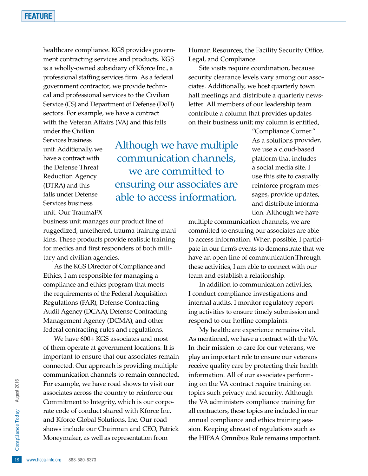healthcare compliance. KGS provides government contracting services and products. KGS is a wholly-owned subsidiary of Kforce Inc., a professional staffing services firm. As a federal government contractor, we provide technical and professional services to the Civilian Service (CS) and Department of Defense (DoD) sectors. For example, we have a contract with the Veteran Affairs (VA) and this falls

under the Civilian Services business unit. Additionally, we have a contract with the Defense Threat Reduction Agency (DTRA) and this falls under Defense Services business unit. Our TraumaFX

Although we have multiple communication channels, we are committed to ensuring our associates are able to access information.

business unit manages our product line of ruggedized, untethered, trauma training manikins. These products provide realistic training for medics and first responders of both military and civilian agencies.

As the KGS Director of Compliance and Ethics, I am responsible for managing a compliance and ethics program that meets the requirements of the Federal Acquisition Regulations (FAR), Defense Contracting Audit Agency (DCAA), Defense Contracting Management Agency (DCMA), and other federal contracting rules and regulations.

18 shows include our<br>
Moneymaker, as w<br>
Moneymaker, as w<br>
18 www.hcca-info.org 888-580-8373 We have 600+ KGS associates and most of them operate at government locations. It is important to ensure that our associates remain connected. Our approach is providing multiple communication channels to remain connected. For example, we have road shows to visit our associates across the country to reinforce our Commitment to Integrity, which is our corporate code of conduct shared with Kforce Inc. and Kforce Global Solutions, Inc. Our road shows include our Chairman and CEO, Patrick Moneymaker, as well as representation from

Human Resources, the Facility Security Office, Legal, and Compliance.

Site visits require coordination, because security clearance levels vary among our associates. Additionally, we host quarterly town hall meetings and distribute a quarterly newsletter. All members of our leadership team contribute a column that provides updates on their business unit; my column is entitled,

> "Compliance Corner." As a solutions provider, we use a cloud-based platform that includes a social media site. I use this site to casually reinforce program messages, provide updates, and distribute information. Although we have

multiple communication channels, we are committed to ensuring our associates are able to access information. When possible, I participate in our firm's events to demonstrate that we have an open line of communication.Through these activities, I am able to connect with our team and establish a relationship.

In addition to communication activities, I conduct compliance investigations and internal audits. I monitor regulatory reporting activities to ensure timely submission and respond to our hotline complaints.

My healthcare experience remains vital. As mentioned, we have a contract with the VA. In their mission to care for our veterans, we play an important role to ensure our veterans receive quality care by protecting their health information. All of our associates performing on the VA contract require training on topics such privacy and security. Although the VA administers compliance training for all contractors, these topics are included in our annual compliance and ethics training session. Keeping abreast of regulations such as the HIPAA Omnibus Rule remains important.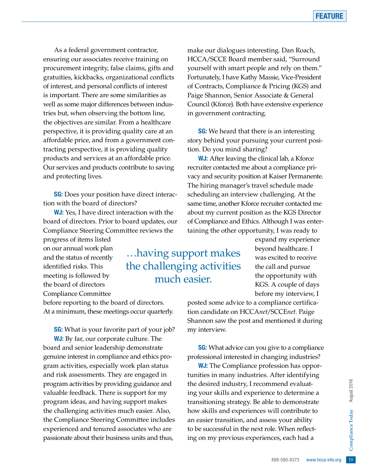As a federal government contractor, ensuring our associates receive training on procurement integrity, false claims, gifts and gratuities, kickbacks, organizational conflicts of interest, and personal conflicts of interest is important. There are some similarities as well as some major differences between industries but, when observing the bottom line, the objectives are similar. From a healthcare perspective, it is providing quality care at an affordable price, and from a government contracting perspective, it is providing quality products and services at an affordable price. Our services and products contribute to saving and protecting lives.

**SG:** Does your position have direct interaction with the board of directors?

**WJ:** Yes. I have direct interaction with the board of directors. Prior to board updates, our Compliance Steering Committee reviews the

progress of items listed on our annual work plan and the status of recently identified risks. This meeting is followed by the board of directors Compliance Committee

before reporting to the board of directors. At a minimum, these meetings occur quarterly.

**SG:** What is your favorite part of your job? **WJ:** By far, our corporate culture. The board and senior leadership demonstrate genuine interest in compliance and ethics program activities, especially work plan status and risk assessments. They are engaged in program activities by providing guidance and valuable feedback. There is support for my program ideas, and having support makes the challenging activities much easier. Also, the Compliance Steering Committee includes experienced and tenured associates who are passionate about their business units and thus,

make our dialogues interesting. Dan Roach, HCCA/SCCE Board member said, "Surround yourself with smart people and rely on them." Fortunately, I have Kathy Massie, Vice-President of Contracts, Compliance & Pricing (KGS) and Paige Shannon, Senior Associate & General Council (Kforce). Both have extensive experience in government contracting.

**SG:** We heard that there is an interesting story behind your pursuing your current position. Do you mind sharing?

WJ: After leaving the clinical lab, a Kforce recruiter contacted me about a compliance privacy and security position at Kaiser Permanente. The hiring manager's travel schedule made scheduling an interview challenging. At the same time, another Kforce recruiter contacted me about my current position as the KGS Director of Compliance and Ethics. Although I was entertaining the other opportunity, I was ready to

…having support makes the challenging activities much easier.

expand my experience beyond healthcare. I was excited to receive the call and pursue the opportunity with KGS. A couple of days before my interview, I

posted some advice to a compliance certification candidate on HCCA*net*/SCCE*net*. Paige Shannon saw the post and mentioned it during my interview.

**SG:** What advice can you give to a compliance professional interested in changing industries?

mend evaluat-<br>
ce to determine a<br>
e to demonstrate<br>
vill contribute to<br>
ess your ability<br>
le. When reflect-<br>
ces, each had a<br>
888-580-8373 www.hcca-info.org 19 **WJ:** The Compliance profession has opportunities in many industries. After identifying the desired industry, I recommend evaluating your skills and experience to determine a transitioning strategy. Be able to demonstrate how skills and experiences will contribute to an easier transition, and assess your ability to be successful in the next role. When reflecting on my previous experiences, each had a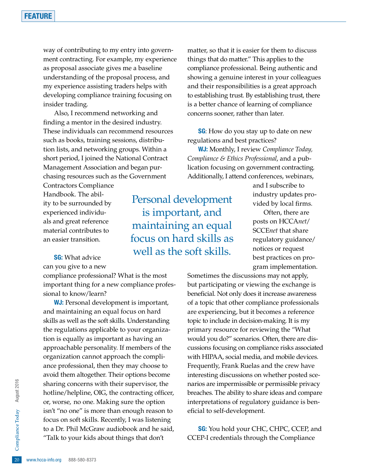way of contributing to my entry into government contracting. For example, my experience as proposal associate gives me a baseline understanding of the proposal process, and my experience assisting traders helps with developing compliance training focusing on insider trading.

Also, I recommend networking and finding a mentor in the desired industry. These individuals can recommend resources such as books, training sessions, distribution lists, and networking groups. Within a short period, I joined the National Contract Management Association and began purchasing resources such as the Government

Contractors Compliance Handbook. The ability to be surrounded by experienced individuals and great reference material contributes to an easier transition.

**SG:** What advice

can you give to a new

compliance professional? What is the most important thing for a new compliance professional to know/learn?

to a Dr. Phil McGraw audiobook and he said,<br>
"Talk to your kids about things that don't<br>
20 www.hcca-info.org 888-580-8373 **WJ:** Personal development is important, and maintaining an equal focus on hard skills as well as the soft skills. Understanding the regulations applicable to your organization is equally as important as having an approachable personality. If members of the organization cannot approach the compliance professional, then they may choose to avoid them altogether. Their options become sharing concerns with their supervisor, the hotline/helpline, OIG, the contracting officer, or, worse, no one. Making sure the option isn't "no one" is more than enough reason to focus on soft skills. Recently, I was listening "Talk to your kids about things that don't

matter, so that it is easier for them to discuss things that do matter." This applies to the compliance professional. Being authentic and showing a genuine interest in your colleagues and their responsibilities is a great approach to establishing trust. By establishing trust, there is a better chance of learning of compliance concerns sooner, rather than later.

**SG**: How do you stay up to date on new regulations and best practices?

WJ: Monthly, I review *Compliance Today, Compliance & Ethics Professional*, and a publication focusing on government contracting. Additionally, I attend conferences, webinars,

Personal development is important, and maintaining an equal focus on hard skills as well as the soft skills.

and I subscribe to industry updates provided by local firms.

Often, there are posts on HCCA*net*/ SCCE*net* that share regulatory guidance/ notices or request best practices on program implementation.

Sometimes the discussions may not apply, but participating or viewing the exchange is beneficial. Not only does it increase awareness of a topic that other compliance professionals are experiencing, but it becomes a reference topic to include in decision-making. It is my primary resource for reviewing the "What would you do?" scenarios. Often, there are discussions focusing on compliance risks associated with HIPAA, social media, and mobile devices. Frequently, Frank Ruelas and the crew have interesting discussions on whether posted scenarios are impermissible or permissible privacy breaches. The ability to share ideas and compare interpretations of regulatory guidance is beneficial to self-development.

**SG:** You hold your CHC, CHPC, CCEP, and CCEP-I credentials through the Compliance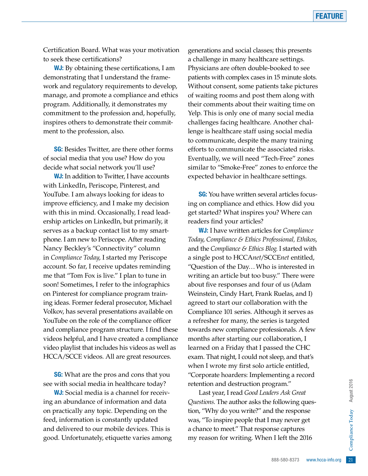Certification Board. What was your motivation to seek these certifications?

**WJ:** By obtaining these certifications, I am demonstrating that I understand the framework and regulatory requirements to develop, manage, and promote a compliance and ethics program. Additionally, it demonstrates my commitment to the profession and, hopefully, inspires others to demonstrate their commitment to the profession, also.

**SG:** Besides Twitter, are there other forms of social media that you use? How do you decide what social network you'll use?

**WJ:** In addition to Twitter. I have accounts with LinkedIn, Periscope, Pinterest, and YouTube. I am always looking for ideas to improve efficiency, and I make my decision with this in mind. Occasionally, I read leadership articles on LinkedIn, but primarily, it serves as a backup contact list to my smartphone. I am new to Periscope. After reading Nancy Beckley's "Connectivity" column in *Compliance Today*, I started my Periscope account. So far, I receive updates reminding me that "Tom Fox is live." I plan to tune in soon! Sometimes, I refer to the infographics on Pinterest for compliance program training ideas. Former federal prosecutor, Michael Volkov, has several presentations available on YouTube on the role of the compliance officer and compliance program structure. I find these videos helpful, and I have created a compliance video playlist that includes his videos as well as HCCA/SCCE videos. All are great resources.

**SG:** What are the pros and cons that you see with social media in healthcare today?

WJ: Social media is a channel for receiving an abundance of information and data on practically any topic. Depending on the feed, information is constantly updated and delivered to our mobile devices. This is good. Unfortunately, etiquette varies among generations and social classes; this presents a challenge in many healthcare settings. Physicians are often double-booked to see patients with complex cases in 15 minute slots. Without consent, some patients take pictures of waiting rooms and post them along with their comments about their waiting time on Yelp. This is only one of many social media challenges facing healthcare. Another challenge is healthcare staff using social media to communicate, despite the many training efforts to communicate the associated risks. Eventually, we will need "Tech-Free" zones similar to "Smoke-Free" zones to enforce the expected behavior in healthcare settings.

**SG:** You have written several articles focusing on compliance and ethics. How did you get started? What inspires you? Where can readers find your articles?

WJ: I have written articles for *Compliance Today*, *Compliance & Ethics Professional, Ethikos*, and the *Compliance & Ethics Blog*. I started with a single post to HCCA*net*/SCCE*net* entitled, "Question of the Day…Who is interested in writing an article but too busy." There were about five responses and four of us (Adam Weinstein, Cindy Hart, Frank Ruelas, and I) agreed to start our collaboration with the Compliance 101 series. Although it serves as a refresher for many, the series is targeted towards new compliance professionals. A few months after starting our collaboration, I learned on a Friday that I passed the CHC exam. That night, I could not sleep, and that's when I wrote my first solo article entitled, "Corporate hoarders: Implementing a record retention and destruction program."

orgram."<br>
Suers Ask Great<br>
extraction: following questions of the response<br>
may never get<br>
nse captures<br>
a I left the 2016<br>
888-580-8373 www.hcca-info.org 21 Last year, I read *Good Leaders Ask Great Questions*. The author asks the following question, "Why do you write?" and the response was, "To inspire people that I may never get a chance to meet." That response captures my reason for writing. When I left the 2016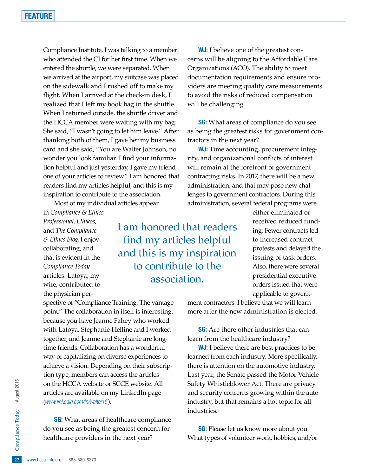Compliance Institute, I was talking to a member who attended the CI for her first time. When we entered the shuttle, we were separated. When we arrived at the airport, my suitcase was placed on the sidewalk and I rushed off to make my flight. When I arrived at the check-in desk, I realized that I left my book bag in the shuttle. When I returned outside, the shuttle driver and the HCCA member were waiting with my bag. She said, "I wasn't going to let him leave." After thanking both of them, I gave her my business card and she said, "You are Walter Johnson; no wonder you look familiar. I find your information helpful and just yesterday, I gave my friend one of your articles to review." I am honored that readers find my articles helpful, and this is my inspiration to contribute to the association.

Most of my individual articles appear

in *Compliance & Ethics Professional*, *Ethikos*, and *The Compliance & Ethics Blog*. I enjoy collaborating, and that is evident in the *Compliance Today* articles. Latoya, my wife, contributed to the physician per-

I am honored that readers find my articles helpful and this is my inspiration to contribute to the association.

spective of "Compliance Training: The vantage point." The collaboration in itself is interesting, because you have Jeanne Fahey who worked with Latoya, Stephanie Helline and I worked together, and Jeanne and Stephanie are longtime friends. Collaboration has a wonderful way of capitalizing on diverse experiences to achieve a vision. Depending on their subscription type, members can access the articles on the HCCA website or SCCE website. All articles are available on my LinkedIn page (*www.linkedin.com/in/walter16*).

do you see as being the greatest concern for<br>
healthcare providers in the next year?<br>  $\frac{22}{2}$  www.hcca-info.org 888-580-8373 **SG:** What areas of healthcare compliance healthcare providers in the next year?

**WJ:** I believe one of the greatest concerns will be aligning to the Affordable Care Organizations (ACO). The ability to meet documentation requirements and ensure providers are meeting quality care measurements to avoid the risks of reduced compensation will be challenging.

**SG:** What areas of compliance do you see as being the greatest risks for government contractors in the next year?

**WJ:** Time accounting, procurement integrity, and organizational conflicts of interest will remain at the forefront of government contracting risks. In 2017, there will be a new administration, and that may pose new challenges to government contractors. During this administration, several federal programs were

> either eliminated or received reduced funding. Fewer contracts led to increased contract protests and delayed the issuing of task orders. Also, there were several presidential executive orders issued that were applicable to govern-

ment contractors. I believe that we will learn more after the new administration is elected.

**SG:** Are there other industries that can learn from the healthcare industry?

**WJ:** I believe there are best practices to be learned from each industry. More specifically, there is attention on the automotive industry. Last year, the Senate passed the Motor Vehicle Safety Whistleblower Act. There are privacy and security concerns growing within the auto industry, but that remains a hot topic for all industries.

**SG:** Please let us know more about you. What types of volunteer work, hobbies, and/or